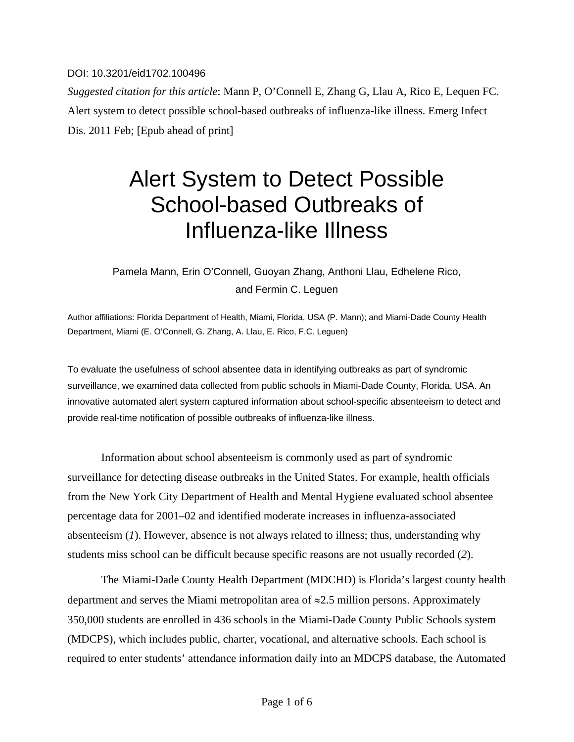DOI: 10.3201/eid1702.100496

*Suggested citation for this article*: Mann P, O'Connell E, Zhang G, Llau A, Rico E, Lequen FC. Alert system to detect possible school-based outbreaks of influenza-like illness. Emerg Infect Dis. 2011 Feb; [Epub ahead of print]

# Alert System to Detect Possible School-based Outbreaks of Influenza-like Illness

## Pamela Mann, Erin O'Connell, Guoyan Zhang, Anthoni Llau, Edhelene Rico, and Fermin C. Leguen

Author affiliations: Florida Department of Health, Miami, Florida, USA (P. Mann); and Miami-Dade County Health Department, Miami (E. O'Connell, G. Zhang, A. Llau, E. Rico, F.C. Leguen)

To evaluate the usefulness of school absentee data in identifying outbreaks as part of syndromic surveillance, we examined data collected from public schools in Miami-Dade County, Florida, USA. An innovative automated alert system captured information about school-specific absenteeism to detect and provide real-time notification of possible outbreaks of influenza-like illness.

Information about school absenteeism is commonly used as part of syndromic surveillance for detecting disease outbreaks in the United States. For example, health officials from the New York City Department of Health and Mental Hygiene evaluated school absentee percentage data for 2001–02 and identified moderate increases in influenza-associated absenteeism (*1*). However, absence is not always related to illness; thus, understanding why students miss school can be difficult because specific reasons are not usually recorded (*2*).

The Miami-Dade County Health Department (MDCHD) is Florida's largest county health department and serves the Miami metropolitan area of ≈2.5 million persons. Approximately 350,000 students are enrolled in 436 schools in the Miami-Dade County Public Schools system (MDCPS), which includes public, charter, vocational, and alternative schools. Each school is required to enter students' attendance information daily into an MDCPS database, the Automated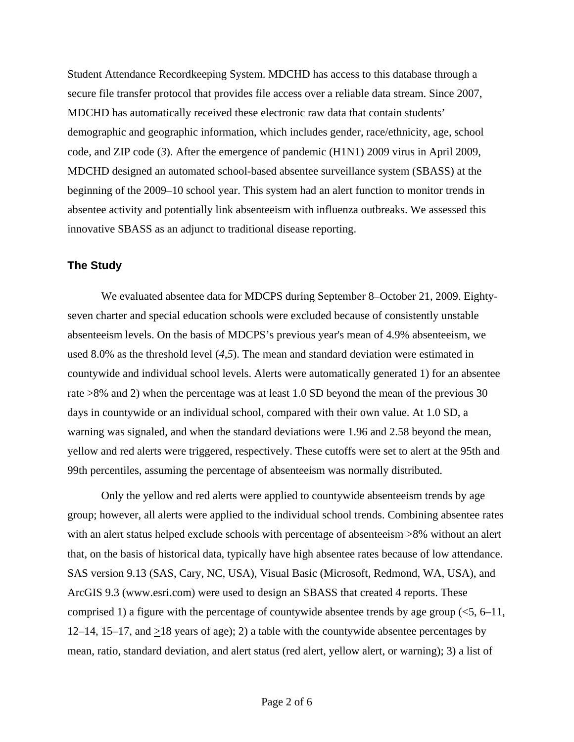Student Attendance Recordkeeping System. MDCHD has access to this database through a secure file transfer protocol that provides file access over a reliable data stream. Since 2007, MDCHD has automatically received these electronic raw data that contain students' demographic and geographic information, which includes gender, race/ethnicity, age, school code, and ZIP code (*3*). After the emergence of pandemic (H1N1) 2009 virus in April 2009, MDCHD designed an automated school-based absentee surveillance system (SBASS) at the beginning of the 2009–10 school year. This system had an alert function to monitor trends in absentee activity and potentially link absenteeism with influenza outbreaks. We assessed this innovative SBASS as an adjunct to traditional disease reporting.

### **The Study**

We evaluated absentee data for MDCPS during September 8–October 21, 2009. Eightyseven charter and special education schools were excluded because of consistently unstable absenteeism levels. On the basis of MDCPS's previous year's mean of 4.9% absenteeism, we used 8.0% as the threshold level (*4*,*5*). The mean and standard deviation were estimated in countywide and individual school levels. Alerts were automatically generated 1) for an absentee rate >8% and 2) when the percentage was at least 1.0 SD beyond the mean of the previous 30 days in countywide or an individual school, compared with their own value. At 1.0 SD, a warning was signaled, and when the standard deviations were 1.96 and 2.58 beyond the mean, yellow and red alerts were triggered, respectively. These cutoffs were set to alert at the 95th and 99th percentiles, assuming the percentage of absenteeism was normally distributed.

Only the yellow and red alerts were applied to countywide absenteeism trends by age group; however, all alerts were applied to the individual school trends. Combining absentee rates with an alert status helped exclude schools with percentage of absenteeism >8% without an alert that, on the basis of historical data, typically have high absentee rates because of low attendance. SAS version 9.13 (SAS, Cary, NC, USA), Visual Basic (Microsoft, Redmond, WA, USA), and ArcGIS 9.3 (www.esri.com) were used to design an SBASS that created 4 reports. These comprised 1) a figure with the percentage of countywide absentee trends by age group  $(<5, 6-11$ , 12–14, 15–17, and  $\geq$ 18 years of age); 2) a table with the countywide absentee percentages by mean, ratio, standard deviation, and alert status (red alert, yellow alert, or warning); 3) a list of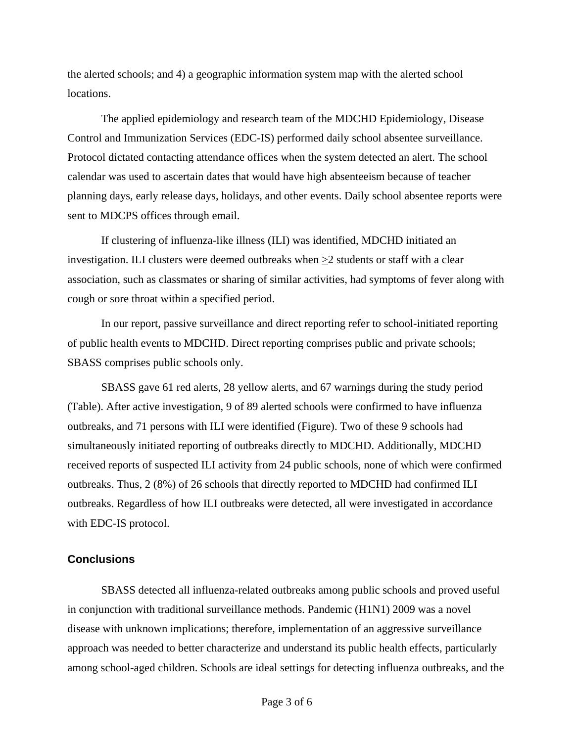the alerted schools; and 4) a geographic information system map with the alerted school locations.

The applied epidemiology and research team of the MDCHD Epidemiology, Disease Control and Immunization Services (EDC-IS) performed daily school absentee surveillance. Protocol dictated contacting attendance offices when the system detected an alert. The school calendar was used to ascertain dates that would have high absenteeism because of teacher planning days, early release days, holidays, and other events. Daily school absentee reports were sent to MDCPS offices through email.

If clustering of influenza-like illness (ILI) was identified, MDCHD initiated an investigation. ILI clusters were deemed outbreaks when  $\geq$ 2 students or staff with a clear association, such as classmates or sharing of similar activities, had symptoms of fever along with cough or sore throat within a specified period.

In our report, passive surveillance and direct reporting refer to school-initiated reporting of public health events to MDCHD. Direct reporting comprises public and private schools; SBASS comprises public schools only.

SBASS gave 61 red alerts, 28 yellow alerts, and 67 warnings during the study period (Table). After active investigation, 9 of 89 alerted schools were confirmed to have influenza outbreaks, and 71 persons with ILI were identified (Figure). Two of these 9 schools had simultaneously initiated reporting of outbreaks directly to MDCHD. Additionally, MDCHD received reports of suspected ILI activity from 24 public schools, none of which were confirmed outbreaks. Thus, 2 (8%) of 26 schools that directly reported to MDCHD had confirmed ILI outbreaks. Regardless of how ILI outbreaks were detected, all were investigated in accordance with EDC-IS protocol.

### **Conclusions**

SBASS detected all influenza-related outbreaks among public schools and proved useful in conjunction with traditional surveillance methods. Pandemic (H1N1) 2009 was a novel disease with unknown implications; therefore, implementation of an aggressive surveillance approach was needed to better characterize and understand its public health effects, particularly among school-aged children. Schools are ideal settings for detecting influenza outbreaks, and the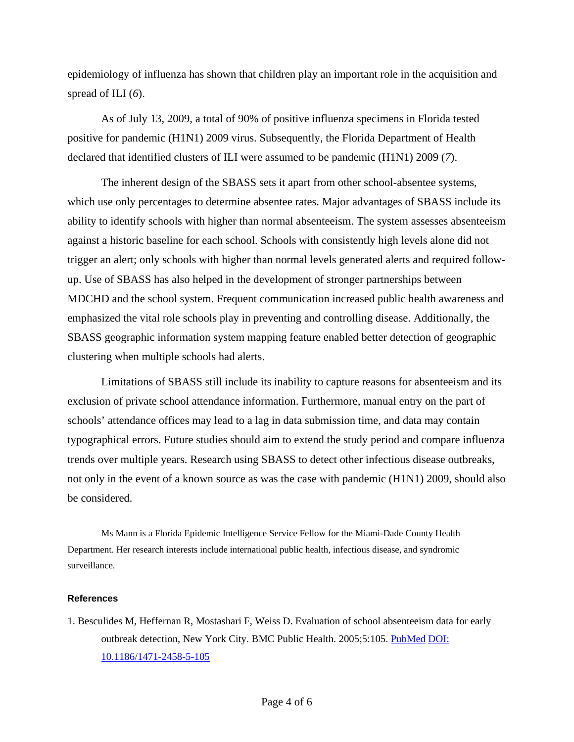epidemiology of influenza has shown that children play an important role in the acquisition and spread of ILI (*6*).

As of July 13, 2009, a total of 90% of positive influenza specimens in Florida tested positive for pandemic (H1N1) 2009 virus. Subsequently, the Florida Department of Health declared that identified clusters of ILI were assumed to be pandemic (H1N1) 2009 (*7*).

The inherent design of the SBASS sets it apart from other school-absentee systems, which use only percentages to determine absentee rates. Major advantages of SBASS include its ability to identify schools with higher than normal absenteeism. The system assesses absenteeism against a historic baseline for each school. Schools with consistently high levels alone did not trigger an alert; only schools with higher than normal levels generated alerts and required followup. Use of SBASS has also helped in the development of stronger partnerships between MDCHD and the school system. Frequent communication increased public health awareness and emphasized the vital role schools play in preventing and controlling disease. Additionally, the SBASS geographic information system mapping feature enabled better detection of geographic clustering when multiple schools had alerts.

Limitations of SBASS still include its inability to capture reasons for absenteeism and its exclusion of private school attendance information. Furthermore, manual entry on the part of schools' attendance offices may lead to a lag in data submission time, and data may contain typographical errors. Future studies should aim to extend the study period and compare influenza trends over multiple years. Research using SBASS to detect other infectious disease outbreaks, not only in the event of a known source as was the case with pandemic (H1N1) 2009, should also be considered.

Ms Mann is a Florida Epidemic Intelligence Service Fellow for the Miami-Dade County Health Department. Her research interests include international public health, infectious disease, and syndromic surveillance.

#### **References**

1. Besculides M, Heffernan R, Mostashari F, Weiss D. Evaluation of school absenteeism data for early outbreak detection, New York City. BMC Public Health. 2005;5:105[. PubMed](http://www.ncbi.nlm.nih.gov/entrez/query.fcgi?cmd=Retrieve&db=PubMed&list_uids=16212669&dopt=Abstract) [DOI:](http://dx.doi.org/10.1186/1471-2458-5-105)  [10.1186/1471-2458-5-105](http://dx.doi.org/10.1186/1471-2458-5-105)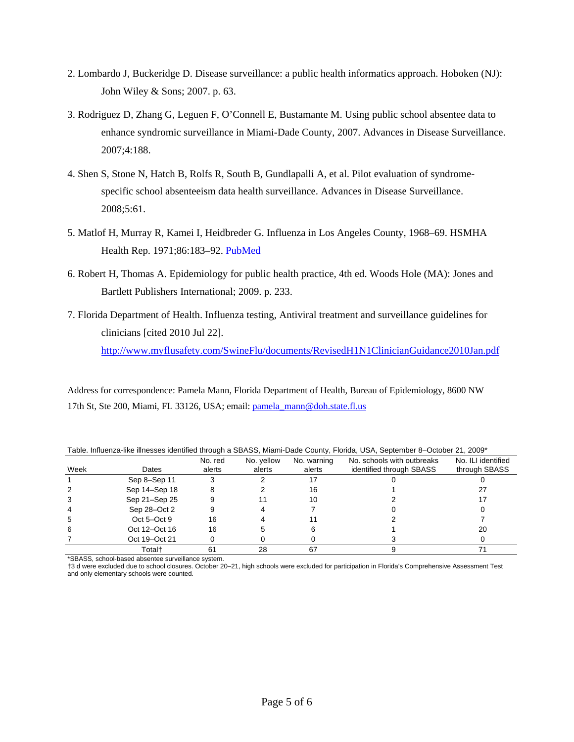- 2. Lombardo J, Buckeridge D. Disease surveillance: a public health informatics approach. Hoboken (NJ): John Wiley & Sons; 2007. p. 63.
- 3. Rodriguez D, Zhang G, Leguen F, O'Connell E, Bustamante M. Using public school absentee data to enhance syndromic surveillance in Miami-Dade County, 2007. Advances in Disease Surveillance. 2007;4:188.
- 4. Shen S, Stone N, Hatch B, Rolfs R, South B, Gundlapalli A, et al. Pilot evaluation of syndromespecific school absenteeism data health surveillance. Advances in Disease Surveillance. 2008;5:61.
- 5. Matlof H, Murray R, Kamei I, Heidbreder G. Influenza in Los Angeles County, 1968–69. HSMHA Health Rep. 1971;86:183–92[. PubMed](http://www.ncbi.nlm.nih.gov/entrez/query.fcgi?cmd=Retrieve&db=PubMed&list_uids=5101541&dopt=Abstract)
- 6. Robert H, Thomas A. Epidemiology for public health practice, 4th ed. Woods Hole (MA): Jones and Bartlett Publishers International; 2009. p. 233.
- 7. Florida Department of Health. Influenza testing, Antiviral treatment and surveillance guidelines for clinicians [cited 2010 Jul 22]. <http://www.myflusafety.com/SwineFlu/documents/RevisedH1N1ClinicianGuidance2010Jan.pdf>

Address for correspondence: Pamela Mann, Florida Department of Health, Bureau of Epidemiology, 8600 NW 17th St, Ste 200, Miami, FL 33126, USA; email: [pamela\\_mann@doh.state.fl.us](mailto:pamela_mann@doh.state.fl.us) 

| Table. Immusiza ilito ilinesses identinea tinoagri a ODAOO, miamii Dade Obanty, Fionda, OOA, Oeptember 0 "October 21, 2005 |               |                   |                      |                       |                                                        |                                     |
|----------------------------------------------------------------------------------------------------------------------------|---------------|-------------------|----------------------|-----------------------|--------------------------------------------------------|-------------------------------------|
| Week                                                                                                                       | Dates         | No. red<br>alerts | No. yellow<br>alerts | No. warning<br>alerts | No. schools with outbreaks<br>identified through SBASS | No. ILI identified<br>through SBASS |
|                                                                                                                            | Sep 8-Sep 11  |                   |                      |                       |                                                        |                                     |
|                                                                                                                            | Sep 14-Sep 18 |                   |                      | 16                    |                                                        |                                     |
| 3                                                                                                                          | Sep 21-Sep 25 |                   |                      | 10                    |                                                        |                                     |
|                                                                                                                            | Sep 28-Oct 2  |                   |                      |                       |                                                        |                                     |
| 5                                                                                                                          | $Oct 5-Oct 9$ | 16                |                      |                       |                                                        |                                     |
| 6                                                                                                                          | Oct 12-Oct 16 | 16                |                      |                       |                                                        | 20                                  |
|                                                                                                                            | Oct 19-Oct 21 |                   |                      |                       |                                                        |                                     |
|                                                                                                                            | Total†        | 61                | 28                   |                       |                                                        |                                     |

Table. Influenza-like illnesses identified through a SBASS, Miami-Dade County, Florida, USA, September 8–October 21, 2009\*

\*SBASS, school-based absentee surveillance system.

†3 d were excluded due to school closures. October 20–21, high schools were excluded for participation in Florida's Comprehensive Assessment Test and only elementary schools were counted.